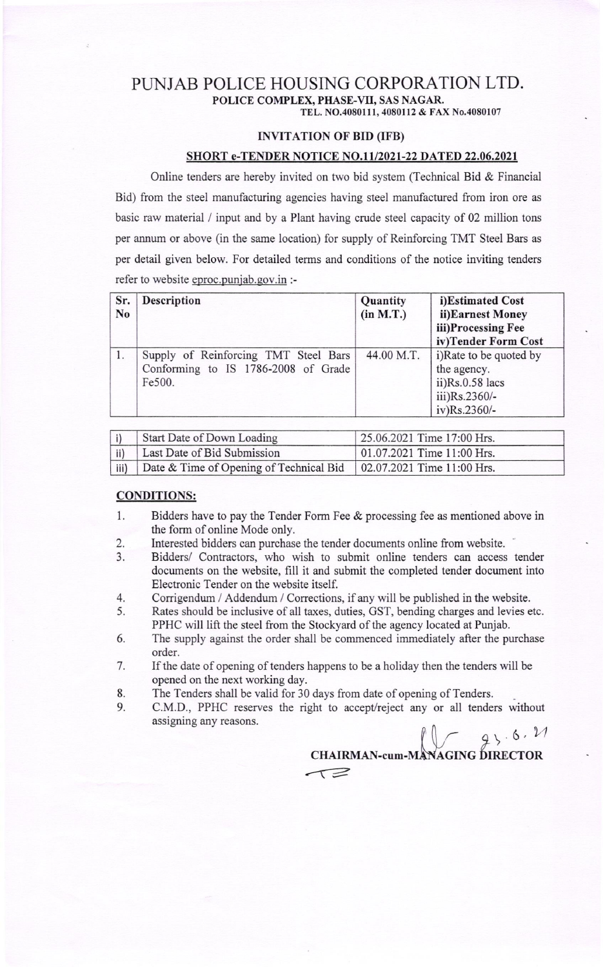## PUNJAB POLICE HOUSING CORPORATION LTD. POLICE COMPLEX, PHASE-VII, SAS NAGAR. TEL. NO.4080111, 4080112 & FAX No.4080107

#### I}IVITATION OF BID (IFB)

### SHORT e-TENDER NOTICE NO.11/2021-22 DATED 22.06.2021

Online tenders are hereby invited on two bid system (Technical Bid & Financial Bid) from the steel manufacturing agencies having steel manufactured from iron ore as basic raw material / input and by a Plant having crude steel capacity of 02 million tons per annum or above (in the same location) for supply of Reinforcing TMT Steel Bars as per detail given below. For detailed terms and conditions of the notice inviting tenders refer to website eproc.punjab.gov.in :-

| Sr.<br>N <sub>o</sub> | <b>Description</b>                                                                    | Quantity<br>(in M.T.) | i)Estimated Cost<br>ii)Earnest Money<br>iii)Processing Fee<br>iv)Tender Form Cost            |
|-----------------------|---------------------------------------------------------------------------------------|-----------------------|----------------------------------------------------------------------------------------------|
|                       | Supply of Reinforcing TMT Steel Bars<br>Conforming to IS 1786-2008 of Grade<br>Fe500. | 44.00 M.T.            | i)Rate to be quoted by<br>the agency.<br>$ii)$ Rs.0.58 lacs<br>iii)Rs.2360/-<br>iv)Rs.2360/- |

|              | Start Date of Down Loading                                           | 25.06.2021 Time 17:00 Hrs. |
|--------------|----------------------------------------------------------------------|----------------------------|
| $\vert$ ii)  | Last Date of Bid Submission                                          | 01.07.2021 Time 11:00 Hrs. |
| $\vert$ iii) | Date & Time of Opening of Technical Bid   02.07.2021 Time 11:00 Hrs. |                            |

#### CONDITIONS:

- l. Bidders have to pay the Tender Form Fee & processing fee as mentioned above in the form of online Mode only.
- 2. Interested bidders can purchase the tender documents online from website.
- 3. Bidders/ Contractors, who wish to submit online tenders can access tender documents on the website, fill it and submit the completed tender document into Electronic Tender on the website itself.
- 4. Corrigendum / Addendum / Corrections, if any will be published in the website.
- 5. Rates should be inclusive of all taxes, duties, GST, bending charges and levies etc. PPHC will lift the steel from the Stockyard of the agency located at Punjab.
- 6. The supply against the order shall be commenced immediately after the purchase order.
- 7. If the date of opening of tenders happens to be a holiday then the tenders will be opened on the next working day.
- 8. The Tenders shall be valid for 30 days from date of opening of Tenders.
- 9. C.M.D., PPHC reserves the right to accept/reject any or all tenders without assigning any reasons.

 $\int \sqrt{4}x^{3} dx$ CHAIRMAN-cum-MANAGING DIRECTOR  $\tau$  $\geq$